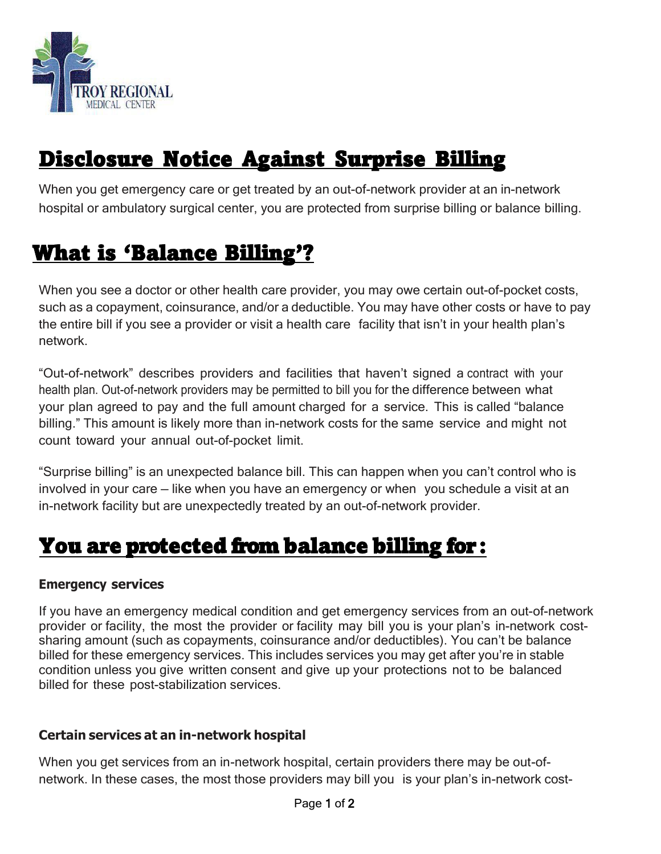

# Disclosure Notice Against Surprise Billing

When you get emergency care or get treated by an out-of-network provider at an in-network hospital or ambulatory surgical center, you are protected from surprise billing or balance billing.

### What is 'Balance Billing'?

When you see a doctor or other health care provider, you may owe certain out-of-pocket costs, such as a copayment, coinsurance, and/or a deductible. You may have other costs or have to pay the entire bill if you see a provider or visit a health care facility that isn't in your health plan's network.

"Out-of-network" describes providers and facilities that haven't signed a contract with your health plan. Out-of-network providers may be permitted to bill you for the difference between what your plan agreed to pay and the full amount charged for a service. This is called "balance billing." This amount is likely more than in-network costs for the same service and might not count toward your annual out-of-pocket limit.

"Surprise billing" is an unexpected balance bill. This can happen when you can't control who is involved in your care — like when you have an emergency or when you schedule a visit at an in-network facility but are unexpectedly treated by an out-of-network provider.

### You are protected from balance billing for:

#### **Emergency services**

If you have an emergency medical condition and get emergency services from an out-of-network provider or facility, the most the provider or facility may bill you is your plan's in-network costsharing amount (such as copayments, coinsurance and/or deductibles). You can't be balance billed for these emergency services. This includes services you may get after you're in stable condition unless you give written consent and give up your protections not to be balanced billed for these post-stabilization services.

#### **Certain services at an in-network hospital**

When you get services from an in-network hospital, certain providers there may be out-ofnetwork. In these cases, the most those providers may bill you is your plan's in-network cost